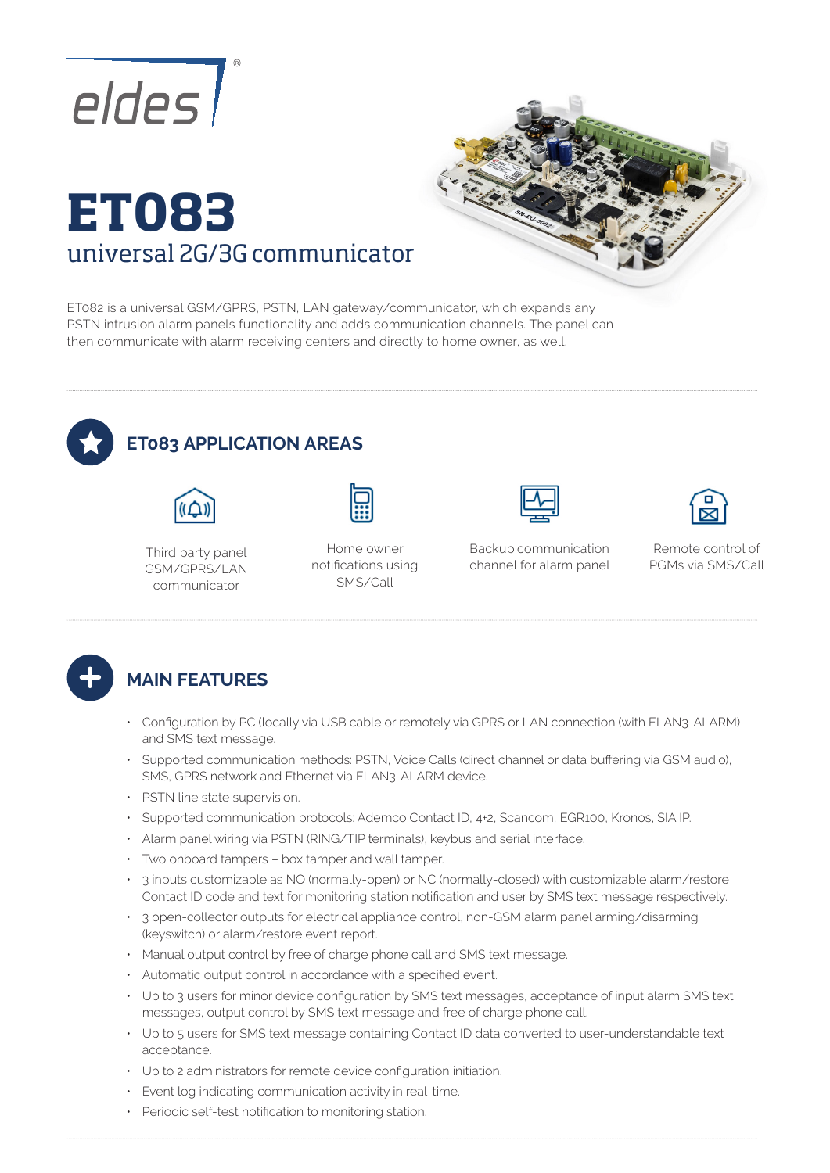

# **ET083**  universal 2G/3G communicator



ET082 is a universal GSM/GPRS, PSTN, LAN gateway/communicator, which expands any PSTN intrusion alarm panels functionality and adds communication channels. The panel can then communicate with alarm receiving centers and directly to home owner, as well.



## **ET083 APPLICATION AREAS**



Third party panel GSM/GPRS/LAN communicator





Backup communication channel for alarm panel



Remote control of PGMs via SMS/Call



#### **MAIN FEATURES**

- Configuration by PC (locally via USB cable or remotely via GPRS or LAN connection (with ELAN3-ALARM) and SMS text message.
- Supported communication methods: PSTN, Voice Calls (direct channel or data buffering via GSM audio), SMS, GPRS network and Ethernet via ELAN3-ALARM device.
- PSTN line state supervision.
- Supported communication protocols: Ademco Contact ID, 4+2, Scancom, EGR100, Kronos, SIA IP.
- Alarm panel wiring via PSTN (RING/TIP terminals), keybus and serial interface.
- Two onboard tampers box tamper and wall tamper.
- 3 inputs customizable as NO (normally-open) or NC (normally-closed) with customizable alarm/restore Contact ID code and text for monitoring station notification and user by SMS text message respectively.
- 3 open-collector outputs for electrical appliance control, non-GSM alarm panel arming/disarming (keyswitch) or alarm/restore event report.
- Manual output control by free of charge phone call and SMS text message.
- Automatic output control in accordance with a specified event.
- Up to 3 users for minor device configuration by SMS text messages, acceptance of input alarm SMS text messages, output control by SMS text message and free of charge phone call.
- Up to 5 users for SMS text message containing Contact ID data converted to user-understandable text acceptance.
- Up to 2 administrators for remote device configuration initiation.
- Event log indicating communication activity in real-time.
- Periodic self-test notification to monitoring station.